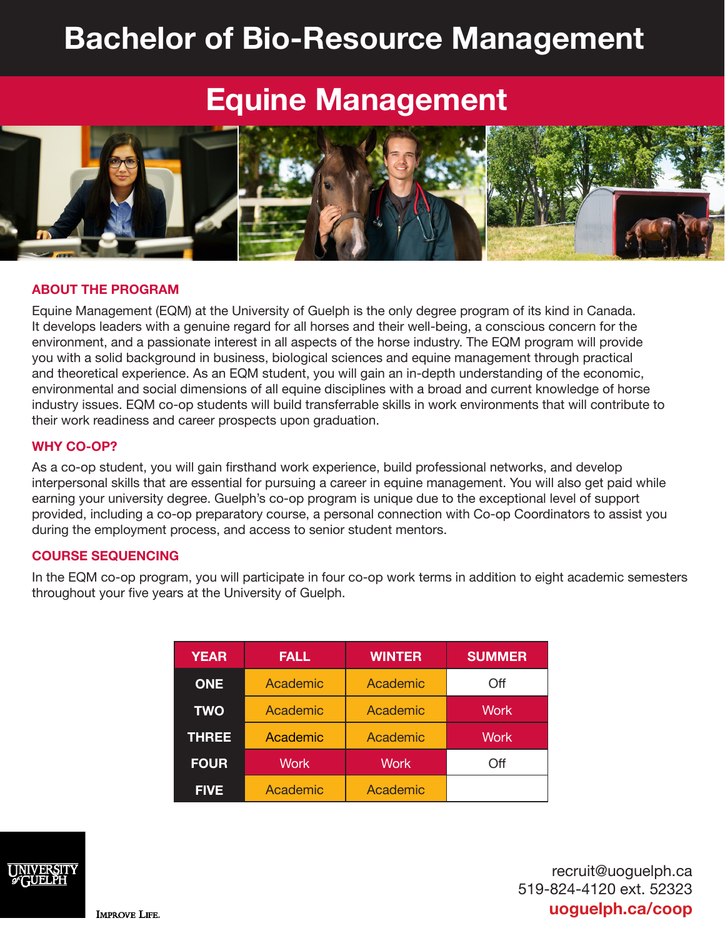# **Bachelor of Bio-Resource Management**

## **Equine Management**



#### **ABOUT THE PROGRAM**

Equine Management (EQM) at the University of Guelph is the only degree program of its kind in Canada. It develops leaders with a genuine regard for all horses and their well-being, a conscious concern for the environment, and a passionate interest in all aspects of the horse industry. The EQM program will provide you with a solid background in business, biological sciences and equine management through practical and theoretical experience. As an EQM student, you will gain an in-depth understanding of the economic, environmental and social dimensions of all equine disciplines with a broad and current knowledge of horse industry issues. EQM co-op students will build transferrable skills in work environments that will contribute to their work readiness and career prospects upon graduation.

#### **WHY CO-OP?**

As a co-op student, you will gain firsthand work experience, build professional networks, and develop interpersonal skills that are essential for pursuing a career in equine management. You will also get paid while earning your university degree. Guelph's co-op program is unique due to the exceptional level of support provided, including a co-op preparatory course, a personal connection with Co-op Coordinators to assist you during the employment process, and access to senior student mentors.

#### **COURSE SEQUENCING**

In the EQM co-op program, you will participate in four co-op work terms in addition to eight academic semesters throughout your five years at the University of Guelph.

| <b>YEAR</b>  | <b>FALL</b> | <b>WINTER</b> | <b>SUMMER</b> |
|--------------|-------------|---------------|---------------|
| <b>ONE</b>   | Academic    | Academic      | Off           |
| <b>TWO</b>   | Academic    | Academic      | <b>Work</b>   |
| <b>THREE</b> | Academic    | Academic      | Work          |
| <b>FOUR</b>  | <b>Work</b> | <b>Work</b>   | Off           |
| <b>FIVE</b>  | Academic    | Academic      |               |



recruit@uoguelph.ca 519-824-4120 ext. 52323 **uoguelph.ca/coop**